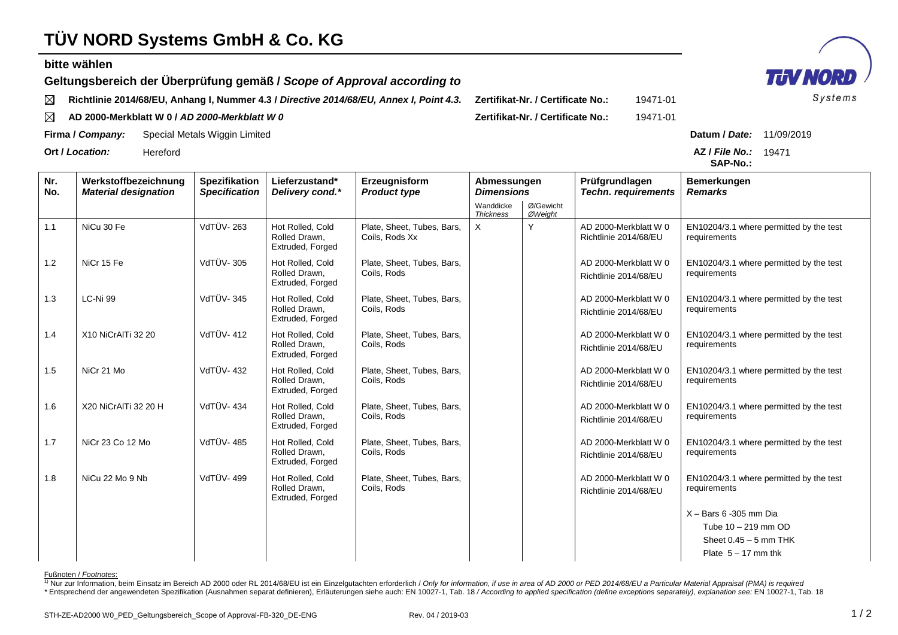## **TÜV NORD Systems GmbH & Co. KG**

## **bitte wählen**

Fußnoten / *Footnotes*:

**Geltungsbereich der Überprüfung gemäß /** *Scope of Approval according to*

**Richtlinie 2014/68/EU, Anhang I, Nummer 4.3 /** *Directive 2014/68/EU, Annex I, Point 4.3.* **Zertifikat-Nr. / Certificate No.:** 19471-01  $\boxtimes$ 

 $\boxtimes$ **AD 2000-Merkblatt W 0 /** *AD 2000-Merkblatt W 0* **Zertifikat-Nr. / Certificate No.:** 19471-01

**Firma /** *Company:* Special Metals Wiggin Limited **Datum /** *Date:* 11/09/2019

**Ort /** *Location:* Hereford **AZ /** *File No.:*

| Nr.<br>No. | Werkstoffbezeichnung<br><b>Material designation</b> | <b>Spezifikation</b><br><b>Specification</b> | Lieferzustand*<br>Delivery cond.*                     | Erzeugnisform<br>Abmessungen<br><b>Dimensions</b><br><b>Product type</b> |                               |                      | Prüfgrundlagen<br><b>Techn. requirements</b>   | Bemerkungen<br><b>Remarks</b>                           |
|------------|-----------------------------------------------------|----------------------------------------------|-------------------------------------------------------|--------------------------------------------------------------------------|-------------------------------|----------------------|------------------------------------------------|---------------------------------------------------------|
|            |                                                     |                                              |                                                       |                                                                          | Wanddicke<br><b>Thickness</b> | Ø/Gewicht<br>ØWeight |                                                |                                                         |
| 1.1        | NiCu 30 Fe                                          | VdTÜV-263                                    | Hot Rolled, Cold<br>Rolled Drawn,<br>Extruded, Forged | Plate, Sheet, Tubes, Bars,<br>Coils, Rods Xx                             | $\times$                      | Y                    | AD 2000-Merkblatt W 0<br>Richtlinie 2014/68/EU | EN10204/3.1 where permitted by the test<br>requirements |
| 1.2        | NiCr 15 Fe                                          | <b>VdTÜV-305</b>                             | Hot Rolled, Cold<br>Rolled Drawn.<br>Extruded, Forged | Plate, Sheet, Tubes, Bars,<br>Coils, Rods                                |                               |                      | AD 2000-Merkblatt W 0<br>Richtlinie 2014/68/EU | EN10204/3.1 where permitted by the test<br>requirements |
| 1.3        | LC-Ni 99                                            | <b>VdTÜV-345</b>                             | Hot Rolled, Cold<br>Rolled Drawn.<br>Extruded, Forged | Plate, Sheet, Tubes, Bars,<br>Coils, Rods                                |                               |                      | AD 2000-Merkblatt W 0<br>Richtlinie 2014/68/EU | EN10204/3.1 where permitted by the test<br>requirements |
| 1.4        | X10 NiCrAITi 32 20                                  | VdTÜV-412                                    | Hot Rolled, Cold<br>Rolled Drawn,<br>Extruded, Forged | Plate, Sheet, Tubes, Bars,<br>Coils, Rods                                |                               |                      | AD 2000-Merkblatt W 0<br>Richtlinie 2014/68/EU | EN10204/3.1 where permitted by the test<br>requirements |
| 1.5        | NiCr 21 Mo                                          | VdTÜV-432                                    | Hot Rolled, Cold<br>Rolled Drawn,<br>Extruded, Forged | Plate, Sheet, Tubes, Bars,<br>Coils, Rods                                |                               |                      | AD 2000-Merkblatt W 0<br>Richtlinie 2014/68/EU | EN10204/3.1 where permitted by the test<br>requirements |
| 1.6        | X20 NiCrAITi 32 20 H                                | VdTÜV-434                                    | Hot Rolled, Cold<br>Rolled Drawn,<br>Extruded, Forged | Plate, Sheet, Tubes, Bars,<br>Coils, Rods                                |                               |                      | AD 2000-Merkblatt W 0<br>Richtlinie 2014/68/EU | EN10204/3.1 where permitted by the test<br>requirements |
| 1.7        | NiCr 23 Co 12 Mo                                    | <b>VdTÜV-485</b>                             | Hot Rolled, Cold<br>Rolled Drawn,<br>Extruded, Forged | Plate, Sheet, Tubes, Bars,<br>Coils, Rods                                |                               |                      | AD 2000-Merkblatt W 0<br>Richtlinie 2014/68/EU | EN10204/3.1 where permitted by the test<br>requirements |
| 1.8        | NiCu 22 Mo 9 Nb                                     | VdTÜV-499                                    | Hot Rolled, Cold<br>Rolled Drawn.<br>Extruded, Forged | Plate, Sheet, Tubes, Bars,<br>Coils, Rods                                |                               |                      | AD 2000-Merkblatt W 0<br>Richtlinie 2014/68/EU | EN10204/3.1 where permitted by the test<br>requirements |
|            |                                                     |                                              |                                                       |                                                                          |                               |                      |                                                | $X -$ Bars 6 -305 mm Dia                                |
|            |                                                     |                                              |                                                       |                                                                          |                               |                      |                                                | Tube 10 - 219 mm OD                                     |
|            |                                                     |                                              |                                                       |                                                                          |                               |                      |                                                | Sheet $0.45 - 5$ mm THK                                 |
|            |                                                     |                                              |                                                       |                                                                          |                               |                      |                                                | Plate $5 - 17$ mm thk                                   |

**SAP-No.:** AZ / File No.: 19471



1) Nur zur Information, beim Einsatz im Bereich AD 2000 oder RL 2014/68/EU ist ein Einzelgutachten erforderlich / Only for information, if use in area of AD 2000 or PED 2014/68/EU a Particular Material Appraisal (PMA) is r \*Entsprechend der angewendeten Spezifikation (Ausnahmen separat definieren), Erläuterungen siehe auch: EN 10027-1, Tab. 18 / According to applied specification (define exceptions separately), explanation see: EN 10027-1, T